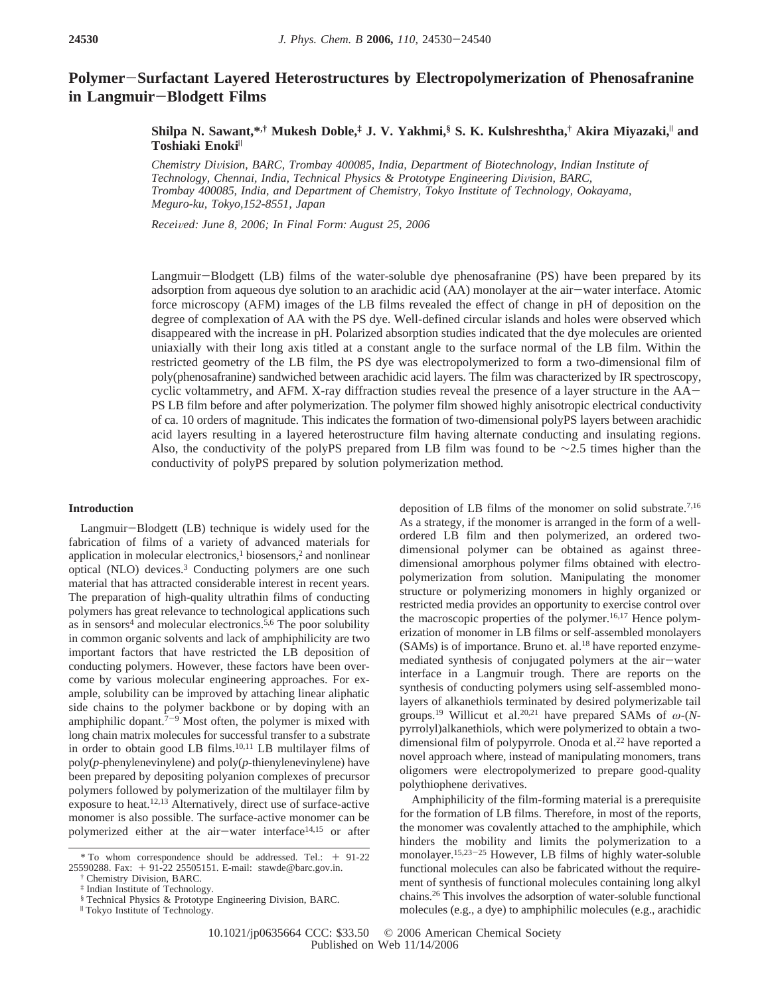# **Polymer**-**Surfactant Layered Heterostructures by Electropolymerization of Phenosafranine in Langmuir**-**Blodgett Films**

## **Shilpa N. Sawant,\*,† Mukesh Doble,‡ J. V. Yakhmi,§ S. K. Kulshreshtha,† Akira Miyazaki,**<sup>|</sup> **and Toshiaki Enoki**<sup>|</sup>

*Chemistry Di*V*ision, BARC, Trombay 400085, India, Department of Biotechnology, Indian Institute of Technology, Chennai, India, Technical Physics & Prototype Engineering Di*V*ision, BARC, Trombay 400085, India, and Department of Chemistry, Tokyo Institute of Technology, Ookayama, Meguro-ku, Tokyo,152-8551, Japan*

*Recei*V*ed: June 8, 2006; In Final Form: August 25, 2006*

Langmuir-Blodgett (LB) films of the water-soluble dye phenosafranine (PS) have been prepared by its adsorption from aqueous dye solution to an arachidic acid (AA) monolayer at the air-water interface. Atomic force microscopy (AFM) images of the LB films revealed the effect of change in pH of deposition on the degree of complexation of AA with the PS dye. Well-defined circular islands and holes were observed which disappeared with the increase in pH. Polarized absorption studies indicated that the dye molecules are oriented uniaxially with their long axis titled at a constant angle to the surface normal of the LB film. Within the restricted geometry of the LB film, the PS dye was electropolymerized to form a two-dimensional film of poly(phenosafranine) sandwiched between arachidic acid layers. The film was characterized by IR spectroscopy, cyclic voltammetry, and AFM. X-ray diffraction studies reveal the presence of a layer structure in the AA-PS LB film before and after polymerization. The polymer film showed highly anisotropic electrical conductivity of ca. 10 orders of magnitude. This indicates the formation of two-dimensional polyPS layers between arachidic acid layers resulting in a layered heterostructure film having alternate conducting and insulating regions. Also, the conductivity of the polyPS prepared from LB film was found to be ∼2.5 times higher than the conductivity of polyPS prepared by solution polymerization method.

#### **Introduction**

Langmuir-Blodgett (LB) technique is widely used for the fabrication of films of a variety of advanced materials for application in molecular electronics, $\frac{1}{2}$  biosensors, $\frac{2}{3}$  and nonlinear optical (NLO) devices.3 Conducting polymers are one such material that has attracted considerable interest in recent years. The preparation of high-quality ultrathin films of conducting polymers has great relevance to technological applications such as in sensors<sup>4</sup> and molecular electronics.<sup>5,6</sup> The poor solubility in common organic solvents and lack of amphiphilicity are two important factors that have restricted the LB deposition of conducting polymers. However, these factors have been overcome by various molecular engineering approaches. For example, solubility can be improved by attaching linear aliphatic side chains to the polymer backbone or by doping with an amphiphilic dopant. $7-9$  Most often, the polymer is mixed with long chain matrix molecules for successful transfer to a substrate in order to obtain good LB films.10,11 LB multilayer films of poly(*p*-phenylenevinylene) and poly(*p*-thienylenevinylene) have been prepared by depositing polyanion complexes of precursor polymers followed by polymerization of the multilayer film by exposure to heat.<sup>12,13</sup> Alternatively, direct use of surface-active monomer is also possible. The surface-active monomer can be polymerized either at the air-water interface<sup>14,15</sup> or after

deposition of LB films of the monomer on solid substrate.7,16 As a strategy, if the monomer is arranged in the form of a wellordered LB film and then polymerized, an ordered twodimensional polymer can be obtained as against threedimensional amorphous polymer films obtained with electropolymerization from solution. Manipulating the monomer structure or polymerizing monomers in highly organized or restricted media provides an opportunity to exercise control over the macroscopic properties of the polymer.<sup>16,17</sup> Hence polymerization of monomer in LB films or self-assembled monolayers  $(SAMs)$  is of importance. Bruno et. al.<sup>18</sup> have reported enzymemediated synthesis of conjugated polymers at the air-water interface in a Langmuir trough. There are reports on the synthesis of conducting polymers using self-assembled monolayers of alkanethiols terminated by desired polymerizable tail groups.19 Willicut et al.20,21 have prepared SAMs of *ω*-(*N*pyrrolyl)alkanethiols, which were polymerized to obtain a twodimensional film of polypyrrole. Onoda et al.<sup>22</sup> have reported a novel approach where, instead of manipulating monomers, trans oligomers were electropolymerized to prepare good-quality polythiophene derivatives.

Amphiphilicity of the film-forming material is a prerequisite for the formation of LB films. Therefore, in most of the reports, the monomer was covalently attached to the amphiphile, which hinders the mobility and limits the polymerization to a monolayer.<sup>15,23-25</sup> However, LB films of highly water-soluble functional molecules can also be fabricated without the requirement of synthesis of functional molecules containing long alkyl chains.26 This involves the adsorption of water-soluble functional molecules (e.g., a dye) to amphiphilic molecules (e.g., arachidic

<sup>\*</sup> To whom correspondence should be addressed. Tel.: + 91-22 25590288. Fax: + 91-22 25505151. E-mail: stawde@barc.gov.in.

<sup>†</sup> Chemistry Division, BARC.

<sup>‡</sup> Indian Institute of Technology.

<sup>§</sup> Technical Physics & Prototype Engineering Division, BARC.

<sup>|</sup> Tokyo Institute of Technology.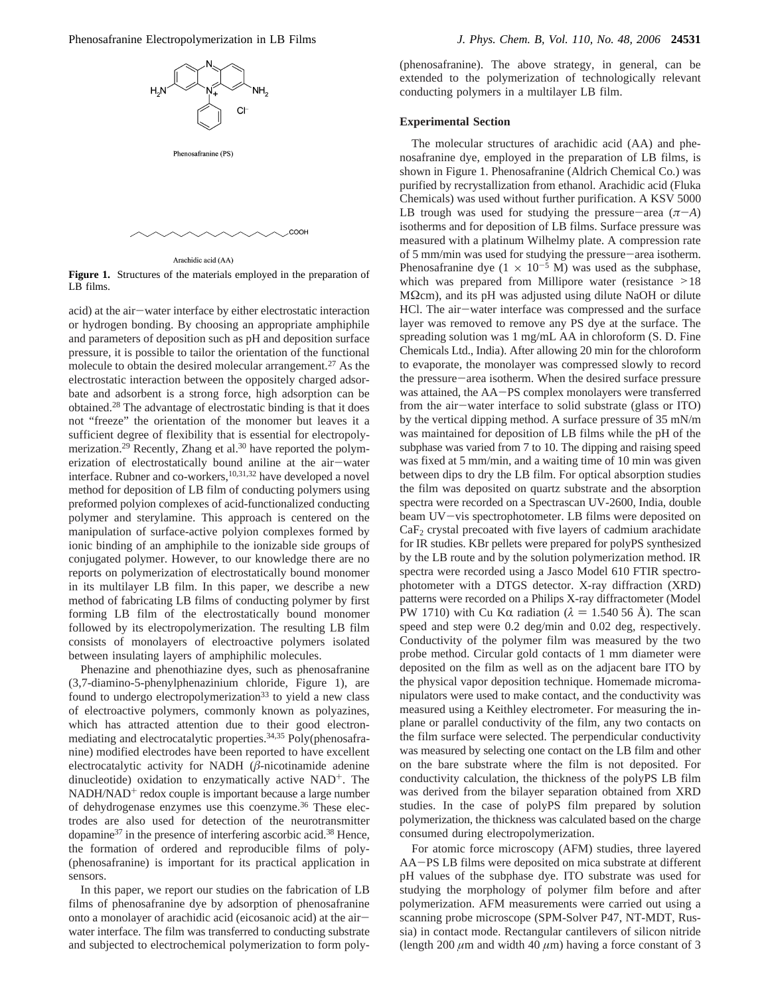Phenosafranine Electropolymerization in LB Films *J. Phys. Chem. B, Vol. 110, No. 48, 2006* **24531**



Arachidic acid (AA)

**Figure 1.** Structures of the materials employed in the preparation of LB films.

COOH

acid) at the air-water interface by either electrostatic interaction or hydrogen bonding. By choosing an appropriate amphiphile and parameters of deposition such as pH and deposition surface pressure, it is possible to tailor the orientation of the functional molecule to obtain the desired molecular arrangement.27 As the electrostatic interaction between the oppositely charged adsorbate and adsorbent is a strong force, high adsorption can be obtained.28 The advantage of electrostatic binding is that it does not "freeze" the orientation of the monomer but leaves it a sufficient degree of flexibility that is essential for electropolymerization.<sup>29</sup> Recently, Zhang et al.<sup>30</sup> have reported the polymerization of electrostatically bound aniline at the air-water erization of electrostatically bound aniline at the air—water interface. Rubner and co-workers,<sup>10,31,32</sup> have developed a novel method for deposition of LB film of conducting polymers using preformed polyion complexes of acid-functionalized conducting polymer and sterylamine. This approach is centered on the manipulation of surface-active polyion complexes formed by ionic binding of an amphiphile to the ionizable side groups of conjugated polymer. However, to our knowledge there are no reports on polymerization of electrostatically bound monomer in its multilayer LB film. In this paper, we describe a new method of fabricating LB films of conducting polymer by first forming LB film of the electrostatically bound monomer followed by its electropolymerization. The resulting LB film consists of monolayers of electroactive polymers isolated between insulating layers of amphiphilic molecules.

Phenazine and phenothiazine dyes, such as phenosafranine (3,7-diamino-5-phenylphenazinium chloride, Figure 1), are found to undergo electropolymerization<sup>33</sup> to yield a new class of electroactive polymers, commonly known as polyazines, which has attracted attention due to their good electronmediating and electrocatalytic properties.34,35 Poly(phenosafranine) modified electrodes have been reported to have excellent electrocatalytic activity for NADH (*â*-nicotinamide adenine dinucleotide) oxidation to enzymatically active  $NAD^{+}$ . The NADH/NAD<sup>+</sup> redox couple is important because a large number of dehydrogenase enzymes use this coenzyme.<sup>36</sup> These electrodes are also used for detection of the neurotransmitter dopamine<sup>37</sup> in the presence of interfering ascorbic acid.<sup>38</sup> Hence, the formation of ordered and reproducible films of poly- (phenosafranine) is important for its practical application in sensors.

In this paper, we report our studies on the fabrication of LB films of phenosafranine dye by adsorption of phenosafranine onto a monolayer of arachidic acid (eicosanoic acid) at the airwater interface. The film was transferred to conducting substrate and subjected to electrochemical polymerization to form poly-

(phenosafranine). The above strategy, in general, can be extended to the polymerization of technologically relevant conducting polymers in a multilayer LB film.

#### **Experimental Section**

The molecular structures of arachidic acid (AA) and phenosafranine dye, employed in the preparation of LB films, is shown in Figure 1. Phenosafranine (Aldrich Chemical Co.) was purified by recrystallization from ethanol. Arachidic acid (Fluka Chemicals) was used without further purification. A KSV 5000 LB trough was used for studying the pressure-area  $(π–A)$ isotherms and for deposition of LB films. Surface pressure was measured with a platinum Wilhelmy plate. A compression rate of 5 mm/min was used for studying the pressure-area isotherm. Phenosafranine dye  $(1 \times 10^{-5} \text{ M})$  was used as the subphase, which was prepared from Millipore water (resistance  $>18$ ) MΩcm), and its pH was adjusted using dilute NaOH or dilute HCl. The air-water interface was compressed and the surface layer was removed to remove any PS dye at the surface. The spreading solution was 1 mg/mL AA in chloroform (S. D. Fine Chemicals Ltd., India). After allowing 20 min for the chloroform to evaporate, the monolayer was compressed slowly to record the pressure-area isotherm. When the desired surface pressure was attained, the AA-PS complex monolayers were transferred from the air-water interface to solid substrate (glass or ITO) by the vertical dipping method. A surface pressure of 35 mN/m was maintained for deposition of LB films while the pH of the subphase was varied from 7 to 10. The dipping and raising speed was fixed at 5 mm/min, and a waiting time of 10 min was given between dips to dry the LB film. For optical absorption studies the film was deposited on quartz substrate and the absorption spectra were recorded on a Spectrascan UV-2600, India, double beam UV-vis spectrophotometer. LB films were deposited on  $CaF<sub>2</sub>$  crystal precoated with five layers of cadmium arachidate for IR studies. KBr pellets were prepared for polyPS synthesized by the LB route and by the solution polymerization method. IR spectra were recorded using a Jasco Model 610 FTIR spectrophotometer with a DTGS detector. X-ray diffraction (XRD) patterns were recorded on a Philips X-ray diffractometer (Model PW 1710) with Cu Kα radiation ( $\lambda = 1.540$  56 Å). The scan speed and step were 0.2 deg/min and 0.02 deg, respectively. Conductivity of the polymer film was measured by the two probe method. Circular gold contacts of 1 mm diameter were deposited on the film as well as on the adjacent bare ITO by the physical vapor deposition technique. Homemade micromanipulators were used to make contact, and the conductivity was measured using a Keithley electrometer. For measuring the inplane or parallel conductivity of the film, any two contacts on the film surface were selected. The perpendicular conductivity was measured by selecting one contact on the LB film and other on the bare substrate where the film is not deposited. For conductivity calculation, the thickness of the polyPS LB film was derived from the bilayer separation obtained from XRD studies. In the case of polyPS film prepared by solution polymerization, the thickness was calculated based on the charge consumed during electropolymerization.

For atomic force microscopy (AFM) studies, three layered AA-PS LB films were deposited on mica substrate at different pH values of the subphase dye. ITO substrate was used for studying the morphology of polymer film before and after polymerization. AFM measurements were carried out using a scanning probe microscope (SPM-Solver P47, NT-MDT, Russia) in contact mode. Rectangular cantilevers of silicon nitride (length 200  $\mu$ m and width 40  $\mu$ m) having a force constant of 3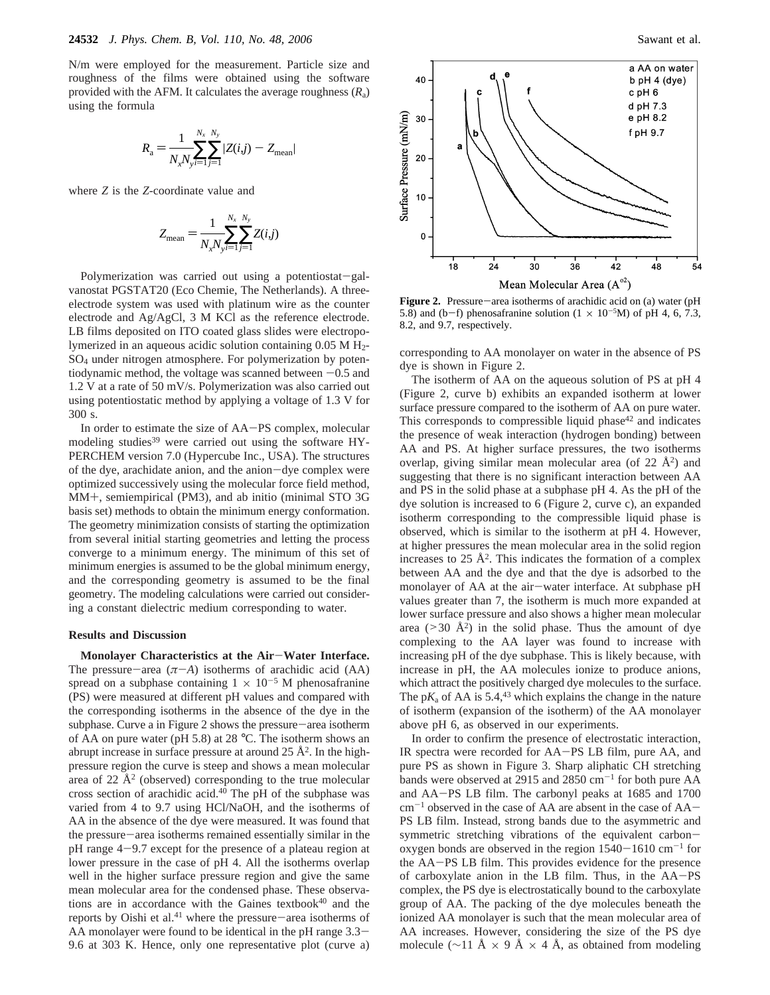N/m were employed for the measurement. Particle size and roughness of the films were obtained using the software provided with the AFM. It calculates the average roughness (*R*a) using the formula

$$
R_{\rm a} = \frac{1}{N_x N_{\rm y} i = 1} \sum_{j=1}^{N_x} |Z(i,j) - Z_{\rm mean}|
$$

where *Z* is the *Z*-coordinate value and

$$
Z_{\text{mean}} = \frac{1}{N_x N_y i = 1} \sum_{j=1}^{N_x} \sum_{j=1}^{N_y} Z(i,j)
$$

Polymerization was carried out using a potentiostat-galvanostat PGSTAT20 (Eco Chemie, The Netherlands). A threeelectrode system was used with platinum wire as the counter electrode and Ag/AgCl, 3 M KCl as the reference electrode. LB films deposited on ITO coated glass slides were electropolymerized in an aqueous acidic solution containing  $0.05 M H<sub>2</sub>$ SO4 under nitrogen atmosphere. For polymerization by potentiodynamic method, the voltage was scanned between  $-0.5$  and 1.2 V at a rate of 50 mV/s. Polymerization was also carried out using potentiostatic method by applying a voltage of 1.3 V for 300 s.

In order to estimate the size of AA-PS complex, molecular modeling studies<sup>39</sup> were carried out using the software HY-PERCHEM version 7.0 (Hypercube Inc., USA). The structures of the dye, arachidate anion, and the anion-dye complex were optimized successively using the molecular force field method, MM+, semiempirical (PM3), and ab initio (minimal STO 3G basis set) methods to obtain the minimum energy conformation. The geometry minimization consists of starting the optimization from several initial starting geometries and letting the process converge to a minimum energy. The minimum of this set of minimum energies is assumed to be the global minimum energy, and the corresponding geometry is assumed to be the final geometry. The modeling calculations were carried out considering a constant dielectric medium corresponding to water.

#### **Results and Discussion**

**Monolayer Characteristics at the Air**-**Water Interface.** The pressure-area  $(π–A)$  isotherms of arachidic acid  $(AA)$ spread on a subphase containing  $1 \times 10^{-5}$  M phenosafranine (PS) were measured at different pH values and compared with the corresponding isotherms in the absence of the dye in the subphase. Curve a in Figure 2 shows the pressure-area isotherm of AA on pure water (pH 5.8) at 28 °C. The isotherm shows an abrupt increase in surface pressure at around  $25 \text{ Å}^2$ . In the highpressure region the curve is steep and shows a mean molecular area of 22  $\AA$ <sup>2</sup> (observed) corresponding to the true molecular cross section of arachidic acid.40 The pH of the subphase was varied from 4 to 9.7 using HCl/NaOH, and the isotherms of AA in the absence of the dye were measured. It was found that the pressure-area isotherms remained essentially similar in the pH range 4-9.7 except for the presence of a plateau region at lower pressure in the case of pH 4. All the isotherms overlap well in the higher surface pressure region and give the same mean molecular area for the condensed phase. These observations are in accordance with the Gaines textbook $40$  and the reports by Oishi et al.<sup>41</sup> where the pressure-area isotherms of AA monolayer were found to be identical in the pH range  $3.3-$ 9.6 at 303 K. Hence, only one representative plot (curve a)



**Figure 2.** Pressure-area isotherms of arachidic acid on (a) water (pH 5.8) and (b-f) phenosafranine solution  $(1 \times 10^{-5}M)$  of pH 4, 6, 7.3, 8.2 and 9.7 respectively 8.2, and 9.7, respectively.

corresponding to AA monolayer on water in the absence of PS dye is shown in Figure 2.

The isotherm of AA on the aqueous solution of PS at pH 4 (Figure 2, curve b) exhibits an expanded isotherm at lower surface pressure compared to the isotherm of AA on pure water. This corresponds to compressible liquid phase $42$  and indicates the presence of weak interaction (hydrogen bonding) between AA and PS. At higher surface pressures, the two isotherms overlap, giving similar mean molecular area (of  $22 \text{ Å}^2$ ) and suggesting that there is no significant interaction between AA and PS in the solid phase at a subphase pH 4. As the pH of the dye solution is increased to 6 (Figure 2, curve c), an expanded isotherm corresponding to the compressible liquid phase is observed, which is similar to the isotherm at pH 4. However, at higher pressures the mean molecular area in the solid region increases to  $25 \text{ Å}^2$ . This indicates the formation of a complex between AA and the dye and that the dye is adsorbed to the monolayer of AA at the air-water interface. At subphase pH values greater than 7, the isotherm is much more expanded at lower surface pressure and also shows a higher mean molecular area ( $>$ 30 Å<sup>2</sup>) in the solid phase. Thus the amount of dye complexing to the AA layer was found to increase with increasing pH of the dye subphase. This is likely because, with increase in pH, the AA molecules ionize to produce anions, which attract the positively charged dye molecules to the surface. The  $pK_a$  of AA is 5.4,<sup>43</sup> which explains the change in the nature of isotherm (expansion of the isotherm) of the AA monolayer above pH 6, as observed in our experiments.

In order to confirm the presence of electrostatic interaction, IR spectra were recorded for AA-PS LB film, pure AA, and pure PS as shown in Figure 3. Sharp aliphatic CH stretching bands were observed at 2915 and 2850 cm<sup>-1</sup> for both pure AA and AA-PS LB film. The carbonyl peaks at 1685 and 1700  $cm^{-1}$  observed in the case of AA are absent in the case of AA $-$ PS LB film. Instead, strong bands due to the asymmetric and symmetric stretching vibrations of the equivalent carbonoxygen bonds are observed in the region  $1540-1610$  cm<sup>-1</sup> for the AA-PS LB film. This provides evidence for the presence of carboxylate anion in the LB film. Thus, in the AA-PS complex, the PS dye is electrostatically bound to the carboxylate group of AA. The packing of the dye molecules beneath the ionized AA monolayer is such that the mean molecular area of AA increases. However, considering the size of the PS dye molecule (∼11 Å  $\times$  9 Å  $\times$  4 Å, as obtained from modeling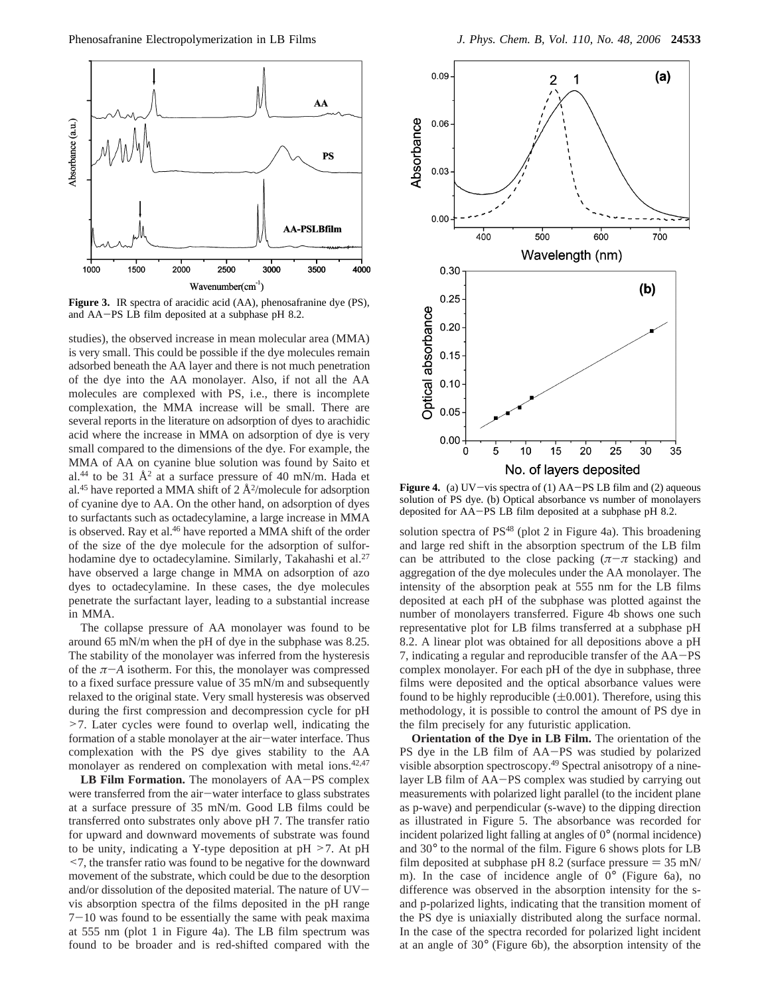

**Figure 3.** IR spectra of aracidic acid (AA), phenosafranine dye (PS), and AA-PS LB film deposited at a subphase pH 8.2.

studies), the observed increase in mean molecular area (MMA) is very small. This could be possible if the dye molecules remain adsorbed beneath the AA layer and there is not much penetration of the dye into the AA monolayer. Also, if not all the AA molecules are complexed with PS, i.e., there is incomplete complexation, the MMA increase will be small. There are several reports in the literature on adsorption of dyes to arachidic acid where the increase in MMA on adsorption of dye is very small compared to the dimensions of the dye. For example, the MMA of AA on cyanine blue solution was found by Saito et al.<sup>44</sup> to be 31  $\AA$ <sup>2</sup> at a surface pressure of 40 mN/m. Hada et al.<sup>45</sup> have reported a MMA shift of  $2 \text{ Å}^2$ /molecule for adsorption of cyanine dye to AA. On the other hand, on adsorption of dyes to surfactants such as octadecylamine, a large increase in MMA is observed. Ray et al.<sup>46</sup> have reported a MMA shift of the order of the size of the dye molecule for the adsorption of sulforhodamine dye to octadecylamine. Similarly, Takahashi et al.<sup>27</sup> have observed a large change in MMA on adsorption of azo dyes to octadecylamine. In these cases, the dye molecules penetrate the surfactant layer, leading to a substantial increase in MMA.

The collapse pressure of AA monolayer was found to be around 65 mN/m when the pH of dye in the subphase was 8.25. The stability of the monolayer was inferred from the hysteresis of the  $\pi$ -*A* isotherm. For this, the monolayer was compressed to a fixed surface pressure value of 35 mN/m and subsequently relaxed to the original state. Very small hysteresis was observed during the first compression and decompression cycle for pH >7. Later cycles were found to overlap well, indicating the formation of a stable monolayer at the air-water interface. Thus complexation with the PS dye gives stability to the AA monolayer as rendered on complexation with metal ions.<sup>42,47</sup>

**LB Film Formation.** The monolayers of AA-PS complex were transferred from the air-water interface to glass substrates at a surface pressure of 35 mN/m. Good LB films could be transferred onto substrates only above pH 7. The transfer ratio for upward and downward movements of substrate was found to be unity, indicating a Y-type deposition at pH >7. At pH <7, the transfer ratio was found to be negative for the downward movement of the substrate, which could be due to the desorption and/or dissolution of the deposited material. The nature of UVvis absorption spectra of the films deposited in the pH range  $7-10$  was found to be essentially the same with peak maxima at 555 nm (plot 1 in Figure 4a). The LB film spectrum was found to be broader and is red-shifted compared with the



**Figure 4.** (a) UV-vis spectra of (1) AA-PS LB film and (2) aqueous solution of PS dye. (b) Optical absorbance vs number of monolayers deposited for AA-PS LB film deposited at a subphase pH 8.2.

solution spectra of PS<sup>48</sup> (plot 2 in Figure 4a). This broadening and large red shift in the absorption spectrum of the LB film can be attributed to the close packing  $(π - π$  stacking) and aggregation of the dye molecules under the AA monolayer. The intensity of the absorption peak at 555 nm for the LB films deposited at each pH of the subphase was plotted against the number of monolayers transferred. Figure 4b shows one such representative plot for LB films transferred at a subphase pH 8.2. A linear plot was obtained for all depositions above a pH 7, indicating a regular and reproducible transfer of the AA-PS complex monolayer. For each pH of the dye in subphase, three films were deposited and the optical absorbance values were found to be highly reproducible  $(\pm 0.001)$ . Therefore, using this methodology, it is possible to control the amount of PS dye in the film precisely for any futuristic application.

**Orientation of the Dye in LB Film.** The orientation of the PS dye in the LB film of AA-PS was studied by polarized visible absorption spectroscopy.49 Spectral anisotropy of a ninelayer LB film of AA-PS complex was studied by carrying out measurements with polarized light parallel (to the incident plane as p-wave) and perpendicular (s-wave) to the dipping direction as illustrated in Figure 5. The absorbance was recorded for incident polarized light falling at angles of 0° (normal incidence) and 30° to the normal of the film. Figure 6 shows plots for LB film deposited at subphase pH 8.2 (surface pressure  $= 35$  mN/ m). In the case of incidence angle of 0° (Figure 6a), no difference was observed in the absorption intensity for the sand p-polarized lights, indicating that the transition moment of the PS dye is uniaxially distributed along the surface normal. In the case of the spectra recorded for polarized light incident at an angle of 30° (Figure 6b), the absorption intensity of the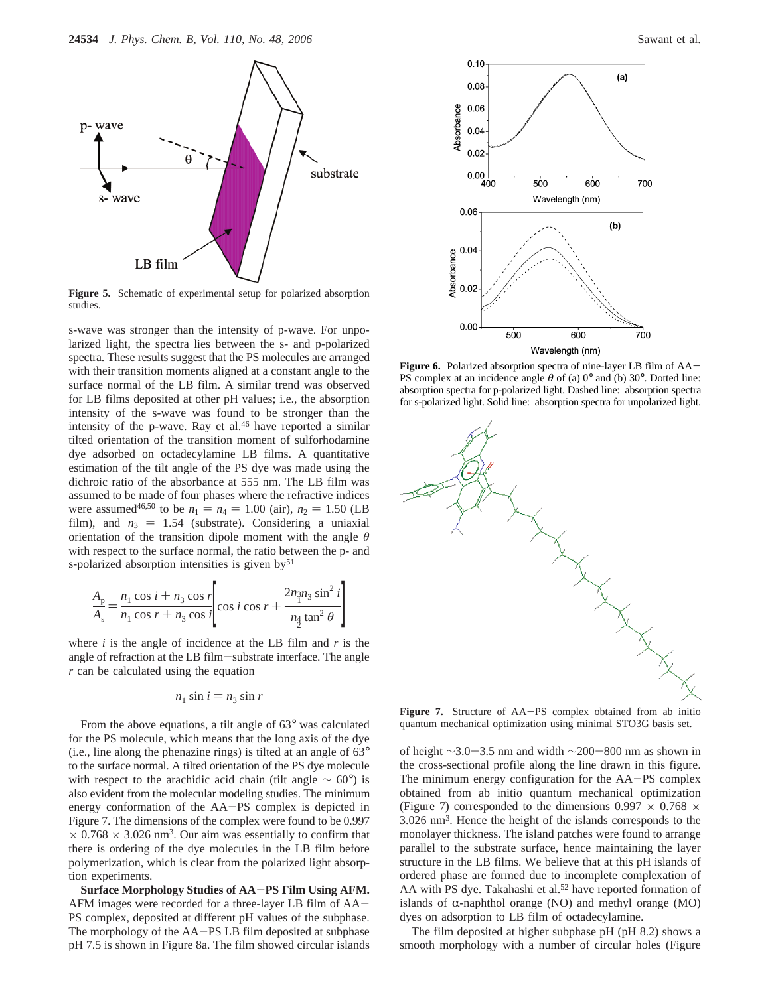

**Figure 5.** Schematic of experimental setup for polarized absorption studies.

s-wave was stronger than the intensity of p-wave. For unpolarized light, the spectra lies between the s- and p-polarized spectra. These results suggest that the PS molecules are arranged with their transition moments aligned at a constant angle to the surface normal of the LB film. A similar trend was observed for LB films deposited at other pH values; i.e., the absorption intensity of the s-wave was found to be stronger than the intensity of the p-wave. Ray et al.<sup>46</sup> have reported a similar tilted orientation of the transition moment of sulforhodamine dye adsorbed on octadecylamine LB films. A quantitative estimation of the tilt angle of the PS dye was made using the dichroic ratio of the absorbance at 555 nm. The LB film was assumed to be made of four phases where the refractive indices were assumed<sup>46,50</sup> to be  $n_1 = n_4 = 1.00$  (air),  $n_2 = 1.50$  (LB film), and  $n_3 = 1.54$  (substrate). Considering a uniaxial orientation of the transition dipole moment with the angle *θ* with respect to the surface normal, the ratio between the p- and s-polarized absorption intensities is given  $by<sup>51</sup>$ 

$$
\frac{A_{p}}{A_{s}} = \frac{n_{1} \cos i + n_{3} \cos r}{n_{1} \cos r + n_{3} \cos i} \left[ \cos i \cos r + \frac{2n_{1} \sin^{3} i}{n_{2} \tan^{2} \theta} \right]
$$

where  $i$  is the angle of incidence at the LB film and  $r$  is the angle of refraction at the LB film-substrate interface. The angle *r* can be calculated using the equation

$$
n_1 \sin i = n_3 \sin r
$$

From the above equations, a tilt angle of 63° was calculated for the PS molecule, which means that the long axis of the dye (i.e., line along the phenazine rings) is tilted at an angle of 63° to the surface normal. A tilted orientation of the PS dye molecule with respect to the arachidic acid chain (tilt angle  $\sim 60^{\circ}$ ) is also evident from the molecular modeling studies. The minimum energy conformation of the AA-PS complex is depicted in Figure 7. The dimensions of the complex were found to be 0.997  $\times$  0.768  $\times$  3.026 nm<sup>3</sup>. Our aim was essentially to confirm that there is ordering of the dye molecules in the LB film before polymerization, which is clear from the polarized light absorption experiments.

**Surface Morphology Studies of AA**-**PS Film Using AFM.** AFM images were recorded for a three-layer LB film of AA-PS complex, deposited at different pH values of the subphase. The morphology of the AA-PS LB film deposited at subphase pH 7.5 is shown in Figure 8a. The film showed circular islands



**Figure 6.** Polarized absorption spectra of nine-layer LB film of AA-PS complex at an incidence angle  $\theta$  of (a)  $0^{\circ}$  and (b)  $30^{\circ}$ . Dotted line: absorption spectra for p-polarized light. Dashed line: absorption spectra for s-polarized light. Solid line: absorption spectra for unpolarized light.



Figure 7. Structure of AA-PS complex obtained from ab initio quantum mechanical optimization using minimal STO3G basis set.

of height <sup>∼</sup>3.0-3.5 nm and width <sup>∼</sup>200-800 nm as shown in the cross-sectional profile along the line drawn in this figure. The minimum energy configuration for the AA-PS complex obtained from ab initio quantum mechanical optimization (Figure 7) corresponded to the dimensions  $0.997 \times 0.768 \times$ 3.026 nm3. Hence the height of the islands corresponds to the monolayer thickness. The island patches were found to arrange parallel to the substrate surface, hence maintaining the layer structure in the LB films. We believe that at this pH islands of ordered phase are formed due to incomplete complexation of AA with PS dye. Takahashi et al.<sup>52</sup> have reported formation of islands of  $\alpha$ -naphthol orange (NO) and methyl orange (MO) dyes on adsorption to LB film of octadecylamine.

The film deposited at higher subphase pH (pH 8.2) shows a smooth morphology with a number of circular holes (Figure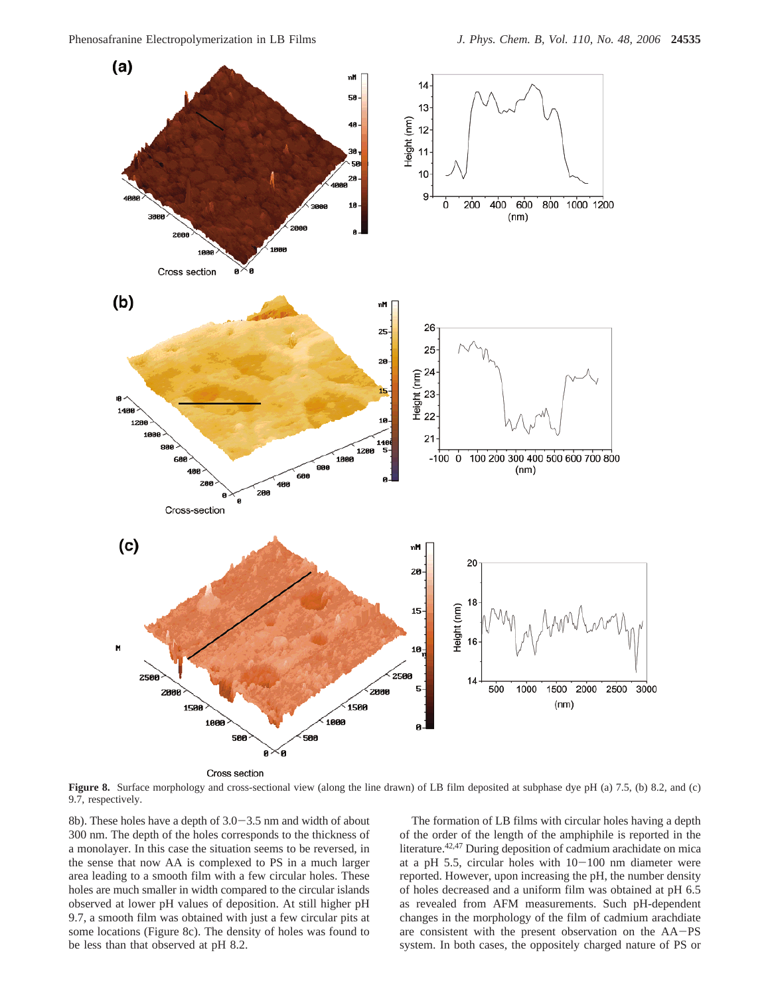

Cross section

**Figure 8.** Surface morphology and cross-sectional view (along the line drawn) of LB film deposited at subphase dye pH (a) 7.5, (b) 8.2, and (c) 9.7, respectively.

8b). These holes have a depth of 3.0-3.5 nm and width of about 300 nm. The depth of the holes corresponds to the thickness of a monolayer. In this case the situation seems to be reversed, in the sense that now AA is complexed to PS in a much larger area leading to a smooth film with a few circular holes. These holes are much smaller in width compared to the circular islands observed at lower pH values of deposition. At still higher pH 9.7, a smooth film was obtained with just a few circular pits at some locations (Figure 8c). The density of holes was found to be less than that observed at pH 8.2.

The formation of LB films with circular holes having a depth of the order of the length of the amphiphile is reported in the literature.42,47 During deposition of cadmium arachidate on mica at a pH 5.5, circular holes with  $10-100$  nm diameter were reported. However, upon increasing the pH, the number density of holes decreased and a uniform film was obtained at pH 6.5 as revealed from AFM measurements. Such pH-dependent changes in the morphology of the film of cadmium arachdiate are consistent with the present observation on the AA-PS system. In both cases, the oppositely charged nature of PS or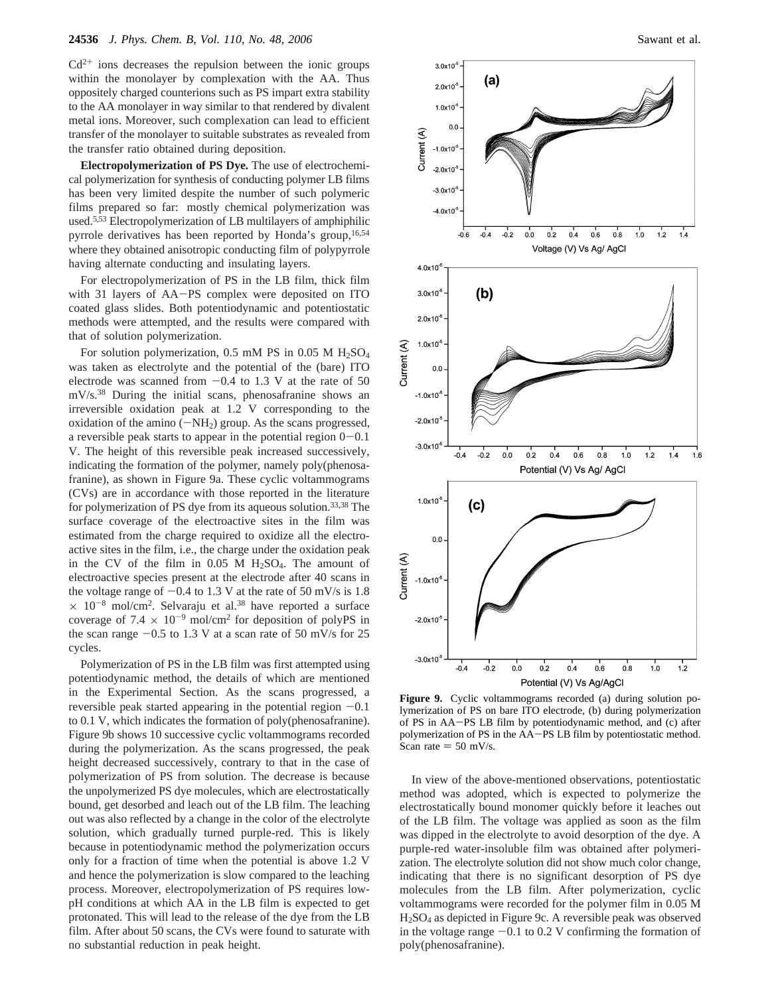$Cd<sup>2+</sup>$  ions decreases the repulsion between the ionic groups within the monolayer by complexation with the AA. Thus oppositely charged counterions such as PS impart extra stability to the AA monolayer in way similar to that rendered by divalent metal ions. Moreover, such complexation can lead to efficient transfer of the monolayer to suitable substrates as revealed from the transfer ratio obtained during deposition.

**Electropolymerization of PS Dye.** The use of electrochemical polymerization for synthesis of conducting polymer LB films has been very limited despite the number of such polymeric films prepared so far: mostly chemical polymerization was used.5,53 Electropolymerization of LB multilayers of amphiphilic pyrrole derivatives has been reported by Honda's group,  $16,54$ where they obtained anisotropic conducting film of polypyrrole having alternate conducting and insulating layers.

For electropolymerization of PS in the LB film, thick film with 31 layers of AA-PS complex were deposited on ITO coated glass slides. Both potentiodynamic and potentiostatic methods were attempted, and the results were compared with that of solution polymerization.

For solution polymerization, 0.5 mM PS in 0.05 M  $H<sub>2</sub>SO<sub>4</sub>$ was taken as electrolyte and the potential of the (bare) ITO electrode was scanned from  $-0.4$  to 1.3 V at the rate of 50 mV/s.38 During the initial scans, phenosafranine shows an irreversible oxidation peak at 1.2 V corresponding to the oxidation of the amino  $(-NH<sub>2</sub>)$  group. As the scans progressed, a reversible peak starts to appear in the potential region  $0-0.1$ V. The height of this reversible peak increased successively, indicating the formation of the polymer, namely poly(phenosafranine), as shown in Figure 9a. These cyclic voltammograms (CVs) are in accordance with those reported in the literature for polymerization of PS dye from its aqueous solution.33,38 The surface coverage of the electroactive sites in the film was estimated from the charge required to oxidize all the electroactive sites in the film, i.e., the charge under the oxidation peak in the CV of the film in  $0.05$  M  $H<sub>2</sub>SO<sub>4</sub>$ . The amount of electroactive species present at the electrode after 40 scans in the voltage range of  $-0.4$  to 1.3 V at the rate of 50 mV/s is 1.8  $\times$  10<sup>-8</sup> mol/cm<sup>2</sup>. Selvaraju et al.<sup>38</sup> have reported a surface coverage of 7.4  $\times$  10<sup>-9</sup> mol/cm<sup>2</sup> for deposition of polyPS in the scan range  $-0.5$  to 1.3 V at a scan rate of 50 mV/s for 25 cycles.

Polymerization of PS in the LB film was first attempted using potentiodynamic method, the details of which are mentioned in the Experimental Section. As the scans progressed, a reversible peak started appearing in the potential region  $-0.1$ to 0.1 V, which indicates the formation of poly(phenosafranine). Figure 9b shows 10 successive cyclic voltammograms recorded during the polymerization. As the scans progressed, the peak height decreased successively, contrary to that in the case of polymerization of PS from solution. The decrease is because the unpolymerized PS dye molecules, which are electrostatically bound, get desorbed and leach out of the LB film. The leaching out was also reflected by a change in the color of the electrolyte solution, which gradually turned purple-red. This is likely because in potentiodynamic method the polymerization occurs only for a fraction of time when the potential is above 1.2 V and hence the polymerization is slow compared to the leaching process. Moreover, electropolymerization of PS requires lowpH conditions at which AA in the LB film is expected to get protonated. This will lead to the release of the dye from the LB film. After about 50 scans, the CVs were found to saturate with no substantial reduction in peak height.



**Figure 9.** Cyclic voltammograms recorded (a) during solution polymerization of PS on bare ITO electrode, (b) during polymerization of PS in AA-PS LB film by potentiodynamic method, and (c) after polymerization of PS in the AA-PS LB film by potentiostatic method. Scan rate  $= 50$  mV/s.

In view of the above-mentioned observations, potentiostatic method was adopted, which is expected to polymerize the electrostatically bound monomer quickly before it leaches out of the LB film. The voltage was applied as soon as the film was dipped in the electrolyte to avoid desorption of the dye. A purple-red water-insoluble film was obtained after polymerization. The electrolyte solution did not show much color change, indicating that there is no significant desorption of PS dye molecules from the LB film. After polymerization, cyclic voltammograms were recorded for the polymer film in 0.05 M H2SO4 as depicted in Figure 9c. A reversible peak was observed in the voltage range  $-0.1$  to 0.2 V confirming the formation of poly(phenosafranine).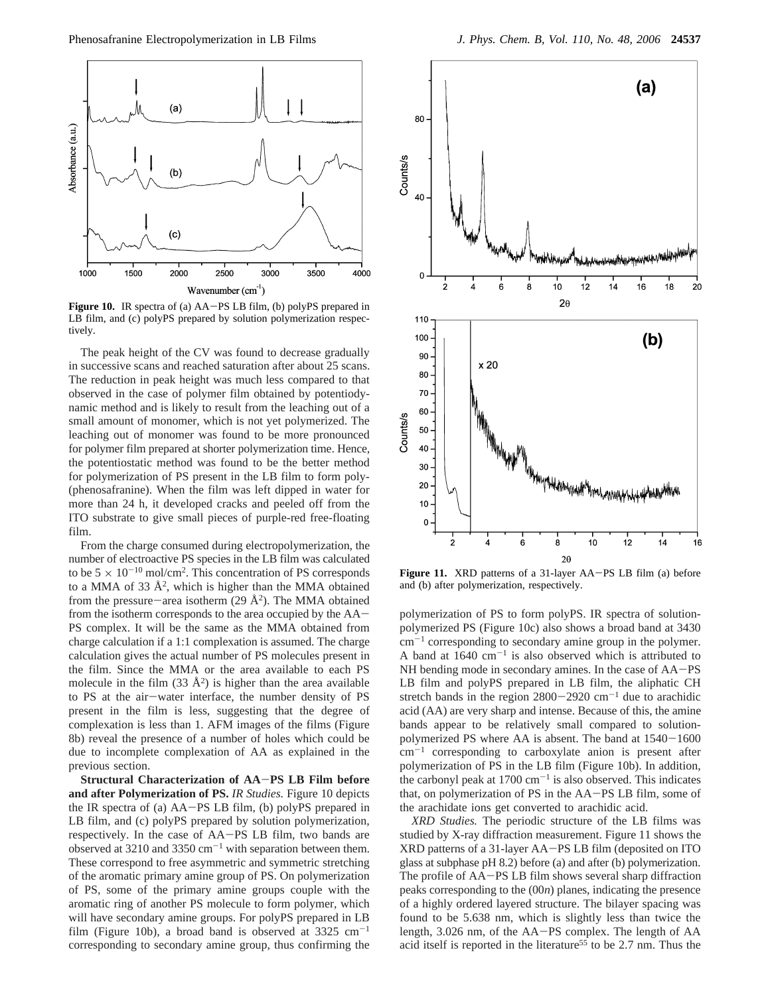

Figure 10. IR spectra of (a) AA-PS LB film, (b) polyPS prepared in LB film, and (c) polyPS prepared by solution polymerization respectively.

The peak height of the CV was found to decrease gradually in successive scans and reached saturation after about 25 scans. The reduction in peak height was much less compared to that observed in the case of polymer film obtained by potentiodynamic method and is likely to result from the leaching out of a small amount of monomer, which is not yet polymerized. The leaching out of monomer was found to be more pronounced for polymer film prepared at shorter polymerization time. Hence, the potentiostatic method was found to be the better method for polymerization of PS present in the LB film to form poly- (phenosafranine). When the film was left dipped in water for more than 24 h, it developed cracks and peeled off from the ITO substrate to give small pieces of purple-red free-floating film.

From the charge consumed during electropolymerization, the number of electroactive PS species in the LB film was calculated to be  $5 \times 10^{-10}$  mol/cm<sup>2</sup>. This concentration of PS corresponds to a MMA of 33  $\AA^2$ , which is higher than the MMA obtained from the pressure-area isotherm (29  $\AA$ <sup>2</sup>). The MMA obtained from the isotherm corresponds to the area occupied by the AA-PS complex. It will be the same as the MMA obtained from charge calculation if a 1:1 complexation is assumed. The charge calculation gives the actual number of PS molecules present in the film. Since the MMA or the area available to each PS molecule in the film  $(33 \text{ Å}^2)$  is higher than the area available to PS at the air-water interface, the number density of PS present in the film is less, suggesting that the degree of complexation is less than 1. AFM images of the films (Figure 8b) reveal the presence of a number of holes which could be due to incomplete complexation of AA as explained in the previous section.

**Structural Characterization of AA**-**PS LB Film before and after Polymerization of PS.** *IR Studies.* Figure 10 depicts the IR spectra of (a) AA-PS LB film, (b) polyPS prepared in LB film, and (c) polyPS prepared by solution polymerization, respectively. In the case of AA-PS LB film, two bands are observed at 3210 and 3350  $cm^{-1}$  with separation between them. These correspond to free asymmetric and symmetric stretching of the aromatic primary amine group of PS. On polymerization of PS, some of the primary amine groups couple with the aromatic ring of another PS molecule to form polymer, which will have secondary amine groups. For polyPS prepared in LB film (Figure 10b), a broad band is observed at  $3325 \text{ cm}^{-1}$ corresponding to secondary amine group, thus confirming the



**Figure 11.** XRD patterns of a 31-layer AA-PS LB film (a) before and (b) after polymerization, respectively.

polymerization of PS to form polyPS. IR spectra of solutionpolymerized PS (Figure 10c) also shows a broad band at 3430  $cm^{-1}$  corresponding to secondary amine group in the polymer. A band at  $1640 \text{ cm}^{-1}$  is also observed which is attributed to NH bending mode in secondary amines. In the case of AA-PS LB film and polyPS prepared in LB film, the aliphatic CH stretch bands in the region  $2800-2920$  cm<sup>-1</sup> due to arachidic acid (AA) are very sharp and intense. Because of this, the amine bands appear to be relatively small compared to solutionpolymerized PS where AA is absent. The band at 1540-<sup>1600</sup>  $cm^{-1}$  corresponding to carboxylate anion is present after polymerization of PS in the LB film (Figure 10b). In addition, the carbonyl peak at  $1700 \text{ cm}^{-1}$  is also observed. This indicates that, on polymerization of PS in the AA-PS LB film, some of the arachidate ions get converted to arachidic acid.

*XRD Studies.* The periodic structure of the LB films was studied by X-ray diffraction measurement. Figure 11 shows the XRD patterns of a 31-layer AA-PS LB film (deposited on ITO glass at subphase pH 8.2) before (a) and after (b) polymerization. The profile of AA-PS LB film shows several sharp diffraction peaks corresponding to the (00*n*) planes, indicating the presence of a highly ordered layered structure. The bilayer spacing was found to be 5.638 nm, which is slightly less than twice the length, 3.026 nm, of the AA-PS complex. The length of AA acid itself is reported in the literature<sup>55</sup> to be 2.7 nm. Thus the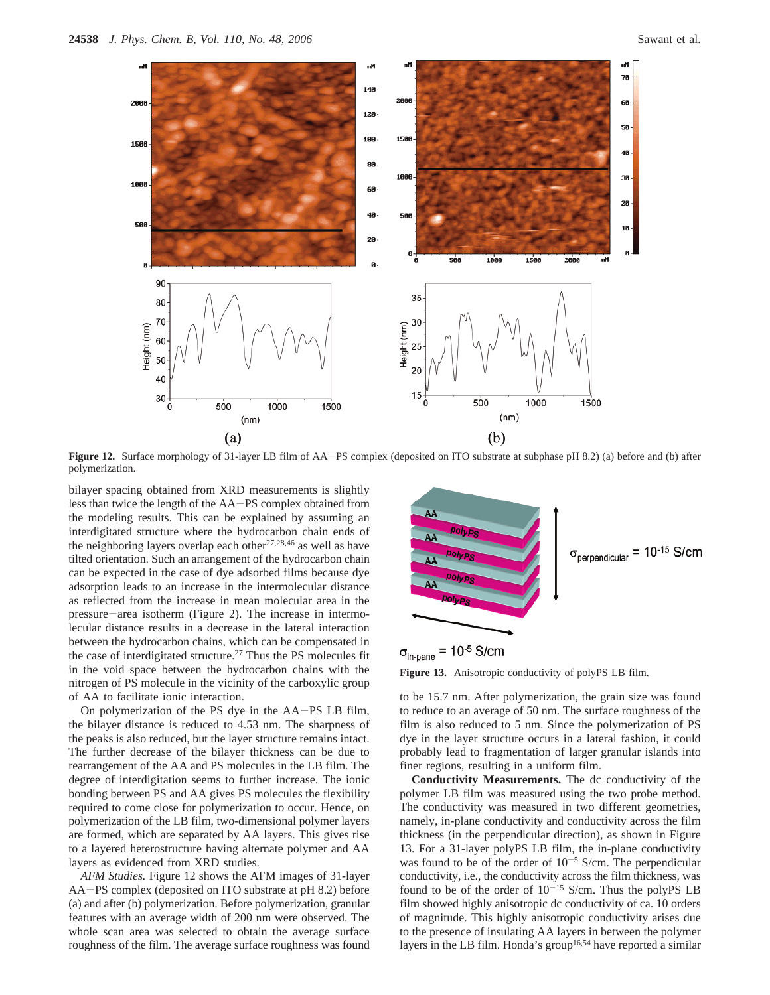

**Figure 12.** Surface morphology of 31-layer LB film of AA-PS complex (deposited on ITO substrate at subphase pH 8.2) (a) before and (b) after polymerization.

bilayer spacing obtained from XRD measurements is slightly less than twice the length of the AA-PS complex obtained from the modeling results. This can be explained by assuming an interdigitated structure where the hydrocarbon chain ends of the neighboring layers overlap each other<sup>27,28,46</sup> as well as have tilted orientation. Such an arrangement of the hydrocarbon chain can be expected in the case of dye adsorbed films because dye adsorption leads to an increase in the intermolecular distance as reflected from the increase in mean molecular area in the pressure-area isotherm (Figure 2). The increase in intermolecular distance results in a decrease in the lateral interaction between the hydrocarbon chains, which can be compensated in the case of interdigitated structure.27 Thus the PS molecules fit in the void space between the hydrocarbon chains with the nitrogen of PS molecule in the vicinity of the carboxylic group of AA to facilitate ionic interaction.

On polymerization of the PS dye in the AA-PS LB film, the bilayer distance is reduced to 4.53 nm. The sharpness of the peaks is also reduced, but the layer structure remains intact. The further decrease of the bilayer thickness can be due to rearrangement of the AA and PS molecules in the LB film. The degree of interdigitation seems to further increase. The ionic bonding between PS and AA gives PS molecules the flexibility required to come close for polymerization to occur. Hence, on polymerization of the LB film, two-dimensional polymer layers are formed, which are separated by AA layers. This gives rise to a layered heterostructure having alternate polymer and AA layers as evidenced from XRD studies.

*AFM Studies.* Figure 12 shows the AFM images of 31-layer AA-PS complex (deposited on ITO substrate at pH 8.2) before (a) and after (b) polymerization. Before polymerization, granular features with an average width of 200 nm were observed. The whole scan area was selected to obtain the average surface roughness of the film. The average surface roughness was found





**Figure 13.** Anisotropic conductivity of polyPS LB film.

to be 15.7 nm. After polymerization, the grain size was found to reduce to an average of 50 nm. The surface roughness of the film is also reduced to 5 nm. Since the polymerization of PS dye in the layer structure occurs in a lateral fashion, it could probably lead to fragmentation of larger granular islands into finer regions, resulting in a uniform film.

**Conductivity Measurements.** The dc conductivity of the polymer LB film was measured using the two probe method. The conductivity was measured in two different geometries, namely, in-plane conductivity and conductivity across the film thickness (in the perpendicular direction), as shown in Figure 13. For a 31-layer polyPS LB film, the in-plane conductivity was found to be of the order of  $10^{-5}$  S/cm. The perpendicular conductivity, i.e., the conductivity across the film thickness, was found to be of the order of  $10^{-15}$  S/cm. Thus the polyPS LB film showed highly anisotropic dc conductivity of ca. 10 orders of magnitude. This highly anisotropic conductivity arises due to the presence of insulating AA layers in between the polymer layers in the LB film. Honda's group<sup>16,54</sup> have reported a similar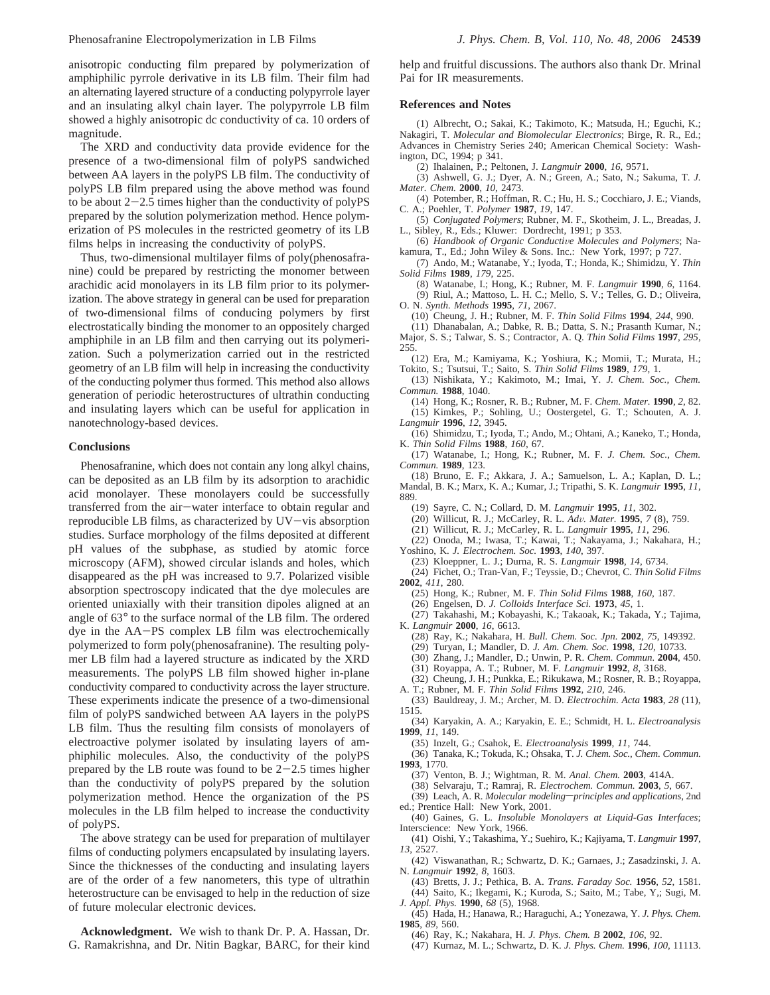anisotropic conducting film prepared by polymerization of amphiphilic pyrrole derivative in its LB film. Their film had an alternating layered structure of a conducting polypyrrole layer and an insulating alkyl chain layer. The polypyrrole LB film showed a highly anisotropic dc conductivity of ca. 10 orders of magnitude.

The XRD and conductivity data provide evidence for the presence of a two-dimensional film of polyPS sandwiched between AA layers in the polyPS LB film. The conductivity of polyPS LB film prepared using the above method was found to be about  $2-2.5$  times higher than the conductivity of polyPS prepared by the solution polymerization method. Hence polymerization of PS molecules in the restricted geometry of its LB films helps in increasing the conductivity of polyPS.

Thus, two-dimensional multilayer films of poly(phenosafranine) could be prepared by restricting the monomer between arachidic acid monolayers in its LB film prior to its polymerization. The above strategy in general can be used for preparation of two-dimensional films of conducing polymers by first electrostatically binding the monomer to an oppositely charged amphiphile in an LB film and then carrying out its polymerization. Such a polymerization carried out in the restricted geometry of an LB film will help in increasing the conductivity of the conducting polymer thus formed. This method also allows generation of periodic heterostructures of ultrathin conducting and insulating layers which can be useful for application in nanotechnology-based devices.

### **Conclusions**

Phenosafranine, which does not contain any long alkyl chains, can be deposited as an LB film by its adsorption to arachidic acid monolayer. These monolayers could be successfully transferred from the air-water interface to obtain regular and reproducible LB films, as characterized by UV-vis absorption studies. Surface morphology of the films deposited at different pH values of the subphase, as studied by atomic force microscopy (AFM), showed circular islands and holes, which disappeared as the pH was increased to 9.7. Polarized visible absorption spectroscopy indicated that the dye molecules are oriented uniaxially with their transition dipoles aligned at an angle of 63° to the surface normal of the LB film. The ordered dye in the AA-PS complex LB film was electrochemically polymerized to form poly(phenosafranine). The resulting polymer LB film had a layered structure as indicated by the XRD measurements. The polyPS LB film showed higher in-plane conductivity compared to conductivity across the layer structure. These experiments indicate the presence of a two-dimensional film of polyPS sandwiched between AA layers in the polyPS LB film. Thus the resulting film consists of monolayers of electroactive polymer isolated by insulating layers of amphiphilic molecules. Also, the conductivity of the polyPS prepared by the LB route was found to be  $2-2.5$  times higher than the conductivity of polyPS prepared by the solution polymerization method. Hence the organization of the PS molecules in the LB film helped to increase the conductivity of polyPS.

The above strategy can be used for preparation of multilayer films of conducting polymers encapsulated by insulating layers. Since the thicknesses of the conducting and insulating layers are of the order of a few nanometers, this type of ultrathin heterostructure can be envisaged to help in the reduction of size of future molecular electronic devices.

**Acknowledgment.** We wish to thank Dr. P. A. Hassan, Dr. G. Ramakrishna, and Dr. Nitin Bagkar, BARC, for their kind help and fruitful discussions. The authors also thank Dr. Mrinal Pai for IR measurements.

#### **References and Notes**

(1) Albrecht, O.; Sakai, K.; Takimoto, K.; Matsuda, H.; Eguchi, K.; Nakagiri, T. *Molecular and Biomolecular Electronics*; Birge, R. R., Ed.; Advances in Chemistry Series 240; American Chemical Society: Washington, DC, 1994; p 341.

(2) Ihalainen, P.; Peltonen, J. *Langmuir* **2000**, *16*, 9571.

(3) Ashwell, G. J.; Dyer, A. N.; Green, A.; Sato, N.; Sakuma, T. *J. Mater. Chem.* **2000**, *10*, 2473.

(4) Potember, R.; Hoffman, R. C.; Hu, H. S.; Cocchiaro, J. E.; Viands, C. A.; Poehler, T. *Polymer* **1987**, *19*, 147.

(5) *Conjugated Polymers*; Rubner, M. F., Skotheim, J. L., Breadas, J. L., Sibley, R., Eds.; Kluwer: Dordrecht, 1991; p 353.

(6) Handbook of Organic Conductive Molecules and Polymers; Nakamura, T., Ed.; John Wiley & Sons. Inc.: New York, 1997; p 727.

(7) Ando, M.; Watanabe, Y.; Iyoda, T.; Honda, K.; Shimidzu, Y. *Thin Solid Films* **1989**, *179*, 225.

(8) Watanabe, I.; Hong, K.; Rubner, M. F. *Langmuir* **1990**, *6*, 1164. (9) Riul, A.; Mattoso, L. H. C.; Mello, S. V.; Telles, G. D.; Oliveira, O. N. *Synth. Methods* **1995**, *71*, 2067.

(10) Cheung, J. H.; Rubner, M. F. *Thin Solid Films* **1994**, *244*, 990.

(11) Dhanabalan, A.; Dabke, R. B.; Datta, S. N.; Prasanth Kumar, N.;

Major, S. S.; Talwar, S. S.; Contractor, A. Q. *Thin Solid Films* **1997**, *295*, 255.

(12) Era, M.; Kamiyama, K.; Yoshiura, K.; Momii, T.; Murata, H.; Tokito, S.; Tsutsui, T.; Saito, S. *Thin Solid Films* **1989**, *179*, 1.

(13) Nishikata, Y.; Kakimoto, M.; Imai, Y. *J. Chem. Soc., Chem. Commun.* **1988**, 1040.

(14) Hong, K.; Rosner, R. B.; Rubner, M. F. *Chem. Mater.* **1990**, *2*, 82. (15) Kimkes, P.; Sohling, U.; Oostergetel, G. T.; Schouten, A. J. *Langmuir* **1996**, *12*, 3945.

(16) Shimidzu, T.; Iyoda, T.; Ando, M.; Ohtani, A.; Kaneko, T.; Honda, K. *Thin Solid Films* **1988**, *160*, 67.

(17) Watanabe, I.; Hong, K.; Rubner, M. F. *J. Chem. Soc., Chem. Commun.* **1989**, 123.

(18) Bruno, E. F.; Akkara, J. A.; Samuelson, L. A.; Kaplan, D. L.; Mandal, B. K.; Marx, K. A.; Kumar, J.; Tripathi, S. K. *Langmuir* **1995**, *11*, 889.

(19) Sayre, C. N.; Collard, D. M. *Langmuir* **1995**, *11*, 302.

(20) Willicut, R. J.; McCarley, R. L. *Ad*V*. Mater.* **<sup>1995</sup>**, *<sup>7</sup>* (8), 759.

(21) Willicut, R. J.; McCarley, R. L. *Langmuir* **1995**, *11*, 296.

(22) Onoda, M.; Iwasa, T.; Kawai, T.; Nakayama, J.; Nakahara, H.; Yoshino, K. *J. Electrochem. Soc.* **1993**, *140*, 397.

(23) Kloeppner, L. J.; Durna, R. S. *Langmuir* **1998**, *14*, 6734.

(24) Fichet, O.; Tran-Van, F.; Teyssie, D.; Chevrot, C. *Thin Solid Films* **2002**, *411*, 280.

(25) Hong, K.; Rubner, M. F. *Thin Solid Films* **1988**, *160*, 187.

(26) Engelsen, D. *J. Colloids Interface Sci.* **1973**, *45*, 1.

(27) Takahashi, M.; Kobayashi, K.; Takaoak, K.; Takada, Y.; Tajima,

K. *Langmuir* **2000**, *16*, 6613.

(28) Ray, K.; Nakahara, H. *Bull. Chem. Soc. Jpn.* **2002**, *75*, 149392.

(29) Turyan, I.; Mandler, D. *J. Am. Chem. Soc.* **1998**, *120*, 10733.

(30) Zhang, J.; Mandler, D.; Unwin, P. R. *Chem. Commun.* **2004**, 450.

(31) Royappa, A. T.; Rubner, M. F. *Langmuir* **1992**, *8*, 3168.

(32) Cheung, J. H.; Punkka, E.; Rikukawa, M.; Rosner, R. B.; Royappa, A. T.; Rubner, M. F. *Thin Solid Films* **1992**, *210*, 246.

- (33) Bauldreay, J. M.; Archer, M. D. *Electrochim. Acta* **1983**, *28* (11), 1515.
- (34) Karyakin, A. A.; Karyakin, E. E.; Schmidt, H. L. *Electroanalysis* **1999**, *11*, 149.
- (35) Inzelt, G.; Csahok, E. *Electroanalysis* **1999**, *11*, 744.

(36) Tanaka, K.; Tokuda, K.; Ohsaka, T. *J. Chem. Soc., Chem. Commun.* **1993**, 1770.

(37) Venton, B. J.; Wightman, R. M. *Anal. Chem.* **2003**, 414A.

(38) Selvaraju, T.; Ramraj, R. *Electrochem. Commun.* **2003**, *5*, 667. (39) Leach, A. R. *Molecular modeling-principles and applications*, 2nd

ed.; Prentice Hall: New York, 2001.

(40) Gaines, G. L. *Insoluble Monolayers at Liquid-Gas Interfaces*; Interscience: New York, 1966.

(41) Oishi, Y.; Takashima, Y.; Suehiro, K.; Kajiyama, T. *Langmuir* **1997**, *13*, 2527.

(42) Viswanathan, R.; Schwartz, D. K.; Garnaes, J.; Zasadzinski, J. A. N. *Langmuir* **1992**, *8*, 1603.

(43) Bretts, J. J.; Pethica, B. A. *Trans. Faraday Soc.* **1956**, *52*, 1581. (44) Saito, K.; Ikegami, K.; Kuroda, S.; Saito, M.; Tabe, Y,; Sugi, M. *J. Appl. Phys.* **1990**, *68* (5), 1968.

(45) Hada, H.; Hanawa, R.; Haraguchi, A.; Yonezawa, Y. *J. Phys. Chem.* **1985**, *89*, 560.

(46) Ray, K.; Nakahara, H. *J. Phys. Chem. B* **2002**, *106*, 92.

(47) Kurnaz, M. L.; Schwartz, D. K. *J. Phys. Chem.* **1996**, *100*, 11113.